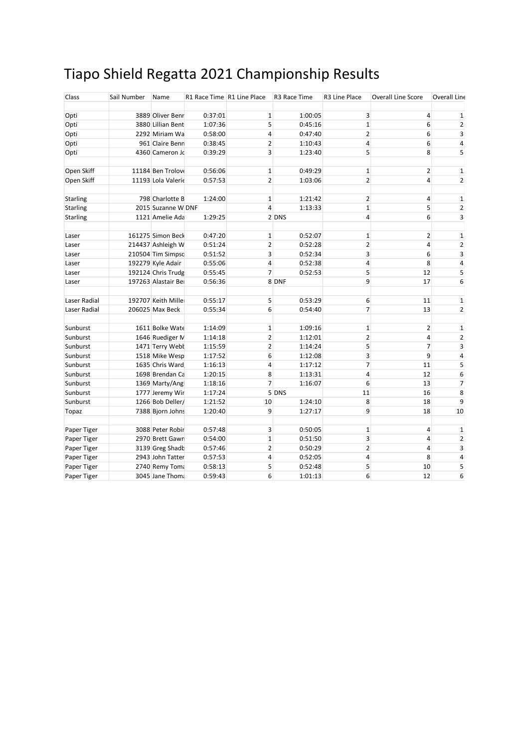## Tiapo Shield Regatta 2021 Championship Results

| Class           | Sail Number | Name                                   | R1 Race Time R1 Line Place |                  | R3 Race Time       | R3 Line Place    | <b>Overall Line Score</b> | Overall Line            |
|-----------------|-------------|----------------------------------------|----------------------------|------------------|--------------------|------------------|---------------------------|-------------------------|
| Opti            |             | 3889 Oliver Benr                       | 0:37:01                    | $\mathbf 1$      | 1:00:05            | 3                | 4                         | 1                       |
| Opti            |             | 3880 Lillian Bent                      | 1:07:36                    | 5                | 0:45:16            | 1                | 6                         | 2                       |
| Opti            |             | 2292 Miriam Wa                         | 0:58:00                    | 4                | 0:47:40            | $\overline{2}$   | 6                         | 3                       |
| Opti            |             | 961 Claire Benn                        | 0:38:45                    | 2                | 1:10:43            | 4                | 6                         | 4                       |
| Opti            |             | 4360 Cameron Jo                        | 0:39:29                    | 3                | 1:23:40            | 5                | 8                         | 5                       |
|                 |             |                                        |                            |                  |                    |                  |                           |                         |
| Open Skiff      |             | 11184 Ben Trolove                      | 0:56:06                    | $\mathbf 1$      | 0:49:29            | $\mathbf 1$      | 2                         | 1                       |
| Open Skiff      |             | 11193 Lola Valerie                     | 0:57:53                    | $\overline{2}$   | 1:03:06            | $\overline{2}$   | $\overline{4}$            | $\overline{2}$          |
|                 |             |                                        |                            |                  |                    |                  |                           |                         |
| Starling        |             | 798 Charlotte B                        | 1:24:00                    | $\mathbf 1$      | 1:21:42            | $\overline{2}$   | 4                         | $\mathbf{1}$            |
| <b>Starling</b> |             | 2015 Suzanne W DNF                     |                            | 4                | 1:13:33            | 1                | 5                         | $\overline{2}$          |
| Starling        |             | 1121 Amelie Ada                        | 1:29:25                    |                  | 2 DNS              | 4                | 6                         | 3                       |
|                 |             |                                        |                            |                  |                    |                  |                           |                         |
| Laser           |             | 161275 Simon Beck<br>214437 Ashleigh W | 0:47:20                    | $\mathbf 1$<br>2 | 0:52:07<br>0:52:28 | $\mathbf 1$<br>2 | $\overline{2}$<br>4       | 1<br>2                  |
| Laser           |             |                                        | 0:51:24                    |                  |                    |                  |                           |                         |
| Laser           |             | 210504 Tim Simpsd                      | 0:51:52                    | 3                | 0:52:34            | 3                | 6                         | 3                       |
| Laser           |             | 192279 Kyle Adair                      | 0:55:06                    | 4                | 0:52:38            | 4                | 8                         | 4                       |
| Laser           |             | 192124 Chris Trudg                     | 0:55:45                    | $\overline{7}$   | 0:52:53            | 5                | 12                        | 5                       |
| Laser           |             | 197263 Alastair Bei                    | 0:56:36                    |                  | 8 DNF              | 9                | 17                        | 6                       |
| Laser Radial    |             | 192707 Keith Mille                     | 0:55:17                    | 5                | 0:53:29            | 6                | 11                        | $\mathbf 1$             |
| Laser Radial    |             | 206025 Max Beck                        | 0:55:34                    | 6                | 0:54:40            | $\overline{7}$   | 13                        | $\overline{2}$          |
|                 |             |                                        |                            |                  |                    |                  |                           |                         |
| Sunburst        |             | 1611 Bolke Wate                        | 1:14:09                    | $\mathbf 1$      | 1:09:16            | $\mathbf 1$      | 2                         | 1                       |
| Sunburst        |             | 1646 Ruediger M                        | 1:14:18                    | $\overline{2}$   | 1:12:01            | $\overline{2}$   | 4                         | $\overline{\mathbf{c}}$ |
| Sunburst        |             | 1471 Terry Webł                        | 1:15:59                    | 2                | 1:14:24            | 5                | $\overline{7}$            | 3                       |
| Sunburst        |             | 1518 Mike Wesp                         | 1:17:52                    | 6                | 1:12:08            | 3                | 9                         | 4                       |
| Sunburst        |             | 1635 Chris Ward                        | 1:16:13                    | 4                | 1:17:12            | 7                | 11                        | 5                       |
| Sunburst        |             | 1698 Brendan Ca                        | 1:20:15                    | 8                | 1:13:31            | 4                | 12                        | 6                       |
| Sunburst        |             | 1369 Marty/Ang                         | 1:18:16                    | 7                | 1:16:07            | 6                | 13                        | 7                       |
| Sunburst        |             | 1777 Jeremy Wir                        | 1:17:24                    |                  | 5 DNS              | 11               | 16                        | 8                       |
| Sunburst        |             | 1266 Bob Deller/                       | 1:21:52                    | 10               | 1:24:10            | 8                | 18                        | 9                       |
| Topaz           |             | 7388 Bjorn Johns                       | 1:20:40                    | 9                | 1:27:17            | 9                | 18                        | 10                      |
| Paper Tiger     |             | 3088 Peter Robir                       | 0:57:48                    | 3                | 0:50:05            | $\mathbf 1$      | 4                         | 1                       |
| Paper Tiger     |             | 2970 Brett Gawn                        | 0:54:00                    | $\mathbf 1$      | 0:51:50            | 3                | 4                         | $\overline{2}$          |
| Paper Tiger     |             | 3139 Greg Shadb                        | 0:57:46                    | 2                | 0:50:29            | $\overline{2}$   | 4                         | 3                       |
| Paper Tiger     |             | 2943 John Tatter                       | 0:57:53                    | 4                | 0:52:05            | 4                | 8                         | 4                       |
| Paper Tiger     |             | 2740 Remy Toma                         | 0:58:13                    | 5                | 0:52:48            | 5                | 10                        | 5                       |
| Paper Tiger     |             | 3045 Jane Thoma                        | 0:59:43                    | 6                | 1:01:13            | 6                | 12                        | 6                       |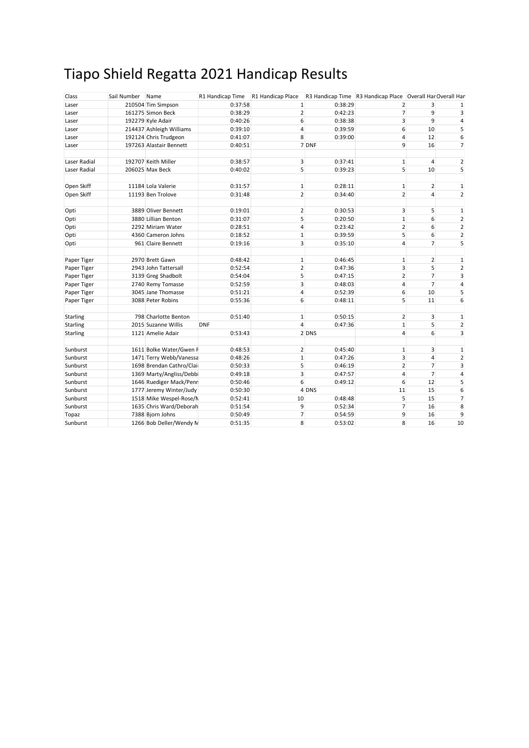## Tiapo Shield Regatta 2021 Handicap Results

| Class           | Sail Number Name |                          | R1 Handicap Time | R1 Handicap Place |         | R3 Handicap Time R3 Handicap Place Overall Har Overall Har |                |                         |
|-----------------|------------------|--------------------------|------------------|-------------------|---------|------------------------------------------------------------|----------------|-------------------------|
| Laser           |                  | 210504 Tim Simpson       | 0:37:58          | 1                 | 0:38:29 | $\overline{2}$                                             | 3              |                         |
| Laser           |                  | 161275 Simon Beck        | 0:38:29          | 2                 | 0:42:23 | $\overline{7}$                                             | 9              | 3                       |
| Laser           |                  | 192279 Kyle Adair        | 0:40:26          | 6                 | 0:38:38 | 3                                                          | 9              | $\overline{\mathbf{4}}$ |
| Laser           |                  | 214437 Ashleigh Williams | 0:39:10          | 4                 | 0:39:59 | 6                                                          | 10             | 5                       |
| Laser           |                  | 192124 Chris Trudgeon    | 0:41:07          | 8                 | 0:39:00 | 4                                                          | 12             | 6                       |
| Laser           |                  | 197263 Alastair Bennett  | 0:40:51          |                   | 7 DNF   | 9                                                          | 16             | $\overline{7}$          |
|                 |                  |                          |                  |                   |         |                                                            |                |                         |
| Laser Radial    |                  | 192707 Keith Miller      | 0:38:57          | 3                 | 0:37:41 | $\mathbf{1}$                                               | 4              | $\overline{2}$          |
| Laser Radial    |                  | 206025 Max Beck          | 0:40:02          | 5                 | 0:39:23 | 5                                                          | 10             | 5                       |
| Open Skiff      |                  | 11184 Lola Valerie       | 0:31:57          | 1                 | 0:28:11 | $\mathbf{1}$                                               | 2              | $\mathbf 1$             |
| Open Skiff      |                  | 11193 Ben Trolove        | 0:31:48          | $\overline{2}$    | 0:34:40 | $\overline{2}$                                             | 4              | $\overline{2}$          |
| Opti            |                  | 3889 Oliver Bennett      | 0:19:01          | 2                 | 0:30:53 | 3                                                          | 5              | $\mathbf 1$             |
| Opti            |                  | 3880 Lillian Benton      | 0:31:07          | 5                 | 0:20:50 | $\mathbf{1}$                                               | 6              | $\overline{2}$          |
| Opti            |                  | 2292 Miriam Water        | 0:28:51          | 4                 | 0:23:42 | $\overline{2}$                                             | 6              | $\overline{2}$          |
| Opti            |                  | 4360 Cameron Johns       | 0:18:52          | $\mathbf{1}$      | 0:39:59 | 5                                                          | 6              | $\overline{2}$          |
| Opti            |                  | 961 Claire Bennett       | 0:19:16          | 3                 | 0:35:10 | 4                                                          | $\overline{7}$ | 5                       |
|                 |                  |                          |                  |                   |         |                                                            |                |                         |
| Paper Tiger     |                  | 2970 Brett Gawn          | 0:48:42          | 1                 | 0:46:45 | $\mathbf{1}$                                               | $\overline{2}$ | $\mathbf{1}$            |
| Paper Tiger     |                  | 2943 John Tattersall     | 0:52:54          | 2                 | 0:47:36 | 3                                                          | 5              | $\overline{2}$          |
| Paper Tiger     |                  | 3139 Greg Shadbolt       | 0:54:04          | 5                 | 0:47:15 | $\overline{2}$                                             | $\overline{7}$ | 3                       |
| Paper Tiger     |                  | 2740 Remy Tomasse        | 0:52:59          | 3                 | 0:48:03 | 4                                                          | $\overline{7}$ | 4                       |
| Paper Tiger     |                  | 3045 Jane Thomasse       | 0:51:21          | 4                 | 0:52:39 | 6                                                          | 10             | 5                       |
| Paper Tiger     |                  | 3088 Peter Robins        | 0:55:36          | 6                 | 0:48:11 | 5                                                          | 11             | 6                       |
| Starling        |                  | 798 Charlotte Benton     | 0:51:40          | $\mathbf{1}$      | 0:50:15 | $\overline{2}$                                             | 3              | $\mathbf 1$             |
| <b>Starling</b> |                  | 2015 Suzanne Willis      | <b>DNF</b>       | 4                 | 0:47:36 | $\mathbf{1}$                                               | 5              | $\overline{2}$          |
| Starling        |                  | 1121 Amelie Adair        | 0:53:43          |                   | 2 DNS   | 4                                                          | 6              | 3                       |
|                 |                  |                          |                  |                   |         |                                                            |                |                         |
| Sunburst        |                  | 1611 Bolke Water/Gwen F  | 0:48:53          | 2                 | 0:45:40 | $\mathbf 1$                                                | 3              | $\mathbf{1}$            |
| Sunburst        |                  | 1471 Terry Webb/Vanessa  | 0:48:26          | $\mathbf{1}$      | 0:47:26 | 3                                                          | 4              | $\overline{2}$          |
| Sunburst        |                  | 1698 Brendan Cathro/Clai | 0:50:33          | 5                 | 0:46:19 | $\overline{2}$                                             | $\overline{7}$ | 3                       |
| Sunburst        |                  | 1369 Marty/Angliss/Debb  | 0:49:18          | 3                 | 0:47:57 | 4                                                          | $\overline{7}$ | 4                       |
| Sunburst        |                  | 1646 Ruediger Mack/Penr  | 0:50:46          | 6                 | 0:49:12 | 6                                                          | 12             | 5                       |
| Sunburst        |                  | 1777 Jeremy Winter/Judy  | 0:50:30          |                   | 4 DNS   | 11                                                         | 15             | 6                       |
| Sunburst        |                  | 1518 Mike Wespel-Rose/N  | 0:52:41          | 10                | 0:48:48 | 5                                                          | 15             | $\overline{7}$          |
| Sunburst        |                  | 1635 Chris Ward/Deborah  | 0:51:54          | 9                 | 0:52:34 | $\overline{7}$                                             | 16             | 8                       |
| Topaz           |                  | 7388 Bjorn Johns         | 0:50:49          | 7                 | 0:54:59 | 9                                                          | 16             | 9                       |
| Sunburst        |                  | 1266 Bob Deller/Wendy N  | 0:51:35          | 8                 | 0:53:02 | 8                                                          | 16             | 10                      |